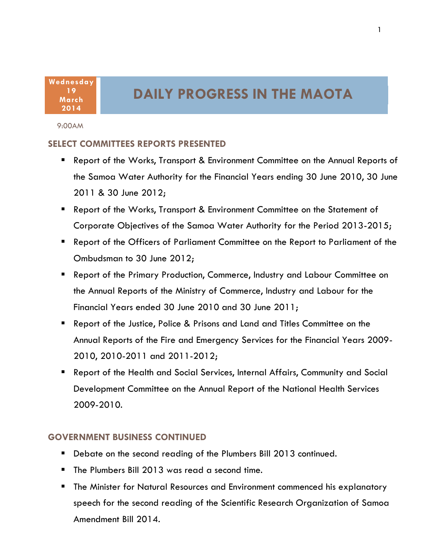**Wednesday 19 March 2014**

# **DAILY PROGRESS IN THE MAOTA**

#### 9:00AM

### **SELECT COMMITTEES REPORTS PRESENTED**

- Report of the Works, Transport & Environment Committee on the Annual Reports of the Samoa Water Authority for the Financial Years ending 30 June 2010, 30 June 2011 & 30 June 2012;
- Report of the Works, Transport & Environment Committee on the Statement of Corporate Objectives of the Samoa Water Authority for the Period 2013-2015;
- Report of the Officers of Parliament Committee on the Report to Parliament of the Ombudsman to 30 June 2012;
- Report of the Primary Production, Commerce, Industry and Labour Committee on the Annual Reports of the Ministry of Commerce, Industry and Labour for the Financial Years ended 30 June 2010 and 30 June 2011;
- Report of the Justice, Police & Prisons and Land and Titles Committee on the Annual Reports of the Fire and Emergency Services for the Financial Years 2009- 2010, 2010-2011 and 2011-2012;
- Report of the Health and Social Services, Internal Affairs, Community and Social Development Committee on the Annual Report of the National Health Services 2009-2010.

### **GOVERNMENT BUSINESS CONTINUED**

- Debate on the second reading of the Plumbers Bill 2013 continued.
- The Plumbers Bill 2013 was read a second time.
- 1 speech for the second reading of the Scientific Research Organization of Samoa The Minister for Natural Resources and Environment commenced his explanatory Amendment Bill 2014.